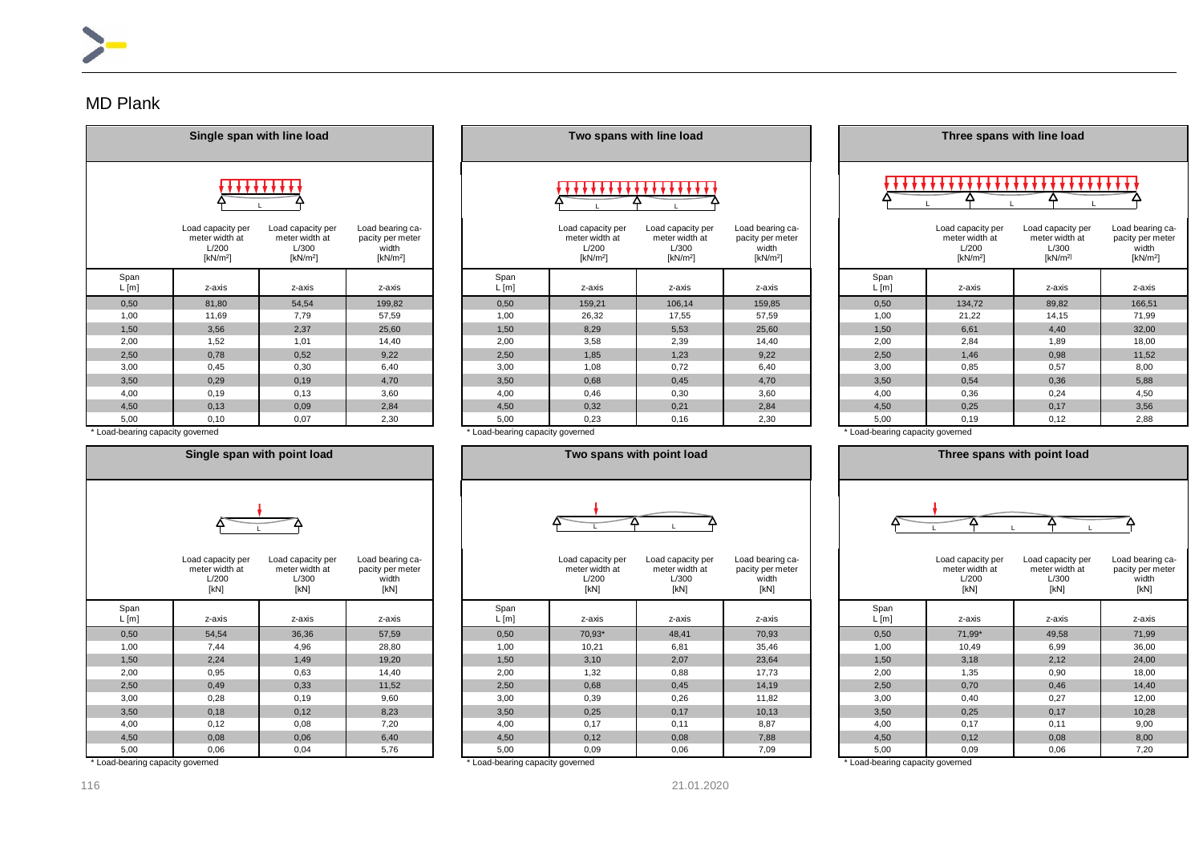## MD Plank

|                 | Single span with line load                                           |                                                             |                                                              |  |              | Two spans with line load                                             |                                                             |                                                                       |  |              | Three spans with line load                                  |                                                                      |                                            |  |  |
|-----------------|----------------------------------------------------------------------|-------------------------------------------------------------|--------------------------------------------------------------|--|--------------|----------------------------------------------------------------------|-------------------------------------------------------------|-----------------------------------------------------------------------|--|--------------|-------------------------------------------------------------|----------------------------------------------------------------------|--------------------------------------------|--|--|
|                 |                                                                      |                                                             |                                                              |  |              |                                                                      |                                                             |                                                                       |  |              |                                                             |                                                                      |                                            |  |  |
|                 | Load capacity per<br>meter width at<br>L/200<br>[kN/m <sup>2</sup> ] | Load capacity per<br>meter width at<br>L/300<br>[ $kN/m2$ ] | Load bearing ca-<br>pacity per meter<br>width<br>[ $kN/m2$ ] |  |              | Load capacity per<br>meter width at<br>L/200<br>[kN/m <sup>2</sup> ] | Load capacity per<br>meter width at<br>L/300<br>[ $kN/m2$ ] | Load bearing ca-<br>pacity per meter<br>width<br>[kN/m <sup>2</sup> ] |  |              | Load capacity per<br>meter width at<br>L/200<br>[ $kN/m2$ ] | Load capacity per<br>meter width at<br>L/300<br>[kN/m <sup>2</sup> ] | Load beari<br>pacity per<br>width<br>[kN/n |  |  |
| Span<br>$L$ [m] | z-axis                                                               | z-axis                                                      | z-axis                                                       |  | Span<br>L[m] | z-axis                                                               | z-axis                                                      | z-axis                                                                |  | Span<br>L[m] | z-axis                                                      | z-axis                                                               | z-axi                                      |  |  |
| 0,50            | 81,80                                                                | 54,54                                                       | 199,82                                                       |  | 0,50         | 159,21                                                               | 106,14                                                      | 159,85                                                                |  | 0,50         | 134,72                                                      | 89,82                                                                | 166,5                                      |  |  |
| 1,00            | 11,69                                                                | 7.79                                                        | 57,59                                                        |  | 1,00         | 26,32                                                                | 17,55                                                       | 57,59                                                                 |  | 1,00         | 21,22                                                       | 14,15                                                                | 71,9                                       |  |  |
| 1,50            | 3,56                                                                 | 2.37                                                        | 25,60                                                        |  | 1,50         | 8,29                                                                 | 5,53                                                        | 25,60                                                                 |  | 1,50         | 6,61                                                        | 4,40                                                                 | 32,0                                       |  |  |
| 2,00            | 1,52                                                                 | 1,01                                                        | 14,40                                                        |  | 2,00         | 3,58                                                                 | 2,39                                                        | 14,40                                                                 |  | 2,00         | 2,84                                                        | 1,89                                                                 | 18,0                                       |  |  |
| 2,50            | 0,78                                                                 | 0,52                                                        | 9,22                                                         |  | 2,50         | 1,85                                                                 | 1,23                                                        | 9,22                                                                  |  | 2,50         | 1,46                                                        | 0,98                                                                 | 11,52                                      |  |  |
| 3,00            | 0,45                                                                 | 0,30                                                        | 6,40                                                         |  | 3,00         | 1,08                                                                 | 0,72                                                        | 6,40                                                                  |  | 3,00         | 0,85                                                        | 0,57                                                                 | 8,00                                       |  |  |
| 3,50            | 0.29                                                                 | 0,19                                                        | 4.70                                                         |  | 3,50         | 0,68                                                                 | 0,45                                                        | 4,70                                                                  |  | 3,50         | 0,54                                                        | 0,36                                                                 | 5,88                                       |  |  |
| 4,00            | 0,19                                                                 | 0,13                                                        | 3,60                                                         |  | 4,00         | 0,46                                                                 | 0,30                                                        | 3,60                                                                  |  | 4,00         | 0,36                                                        | 0,24                                                                 | 4,50                                       |  |  |
| 4,50            | 0,13                                                                 | 0,09                                                        | 2,84                                                         |  | 4,50         | 0,32                                                                 | 0,21                                                        | 2,84                                                                  |  | 4,50         | 0,25                                                        | 0,17                                                                 | 3,56                                       |  |  |
| 5,00            | 0,10                                                                 | 0,07                                                        | 2,30                                                         |  | 5,00         | 0,23                                                                 | 0,16                                                        | 2,30                                                                  |  | 5,00         | 0,19                                                        | 0,12                                                                 | 2,88                                       |  |  |

|               | Single span with line load                                           |                                                             |                                                                       |              |                                                                      | Two spans with line load                                             |                                                              |              |                                                             | Three spans with line load                                           |                                                            |
|---------------|----------------------------------------------------------------------|-------------------------------------------------------------|-----------------------------------------------------------------------|--------------|----------------------------------------------------------------------|----------------------------------------------------------------------|--------------------------------------------------------------|--------------|-------------------------------------------------------------|----------------------------------------------------------------------|------------------------------------------------------------|
|               |                                                                      |                                                             |                                                                       |              |                                                                      |                                                                      |                                                              |              |                                                             |                                                                      |                                                            |
|               | Load capacity per<br>meter width at<br>L/200<br>[kN/m <sup>2</sup> ] | Load capacity per<br>meter width at<br>L/300<br>[ $kN/m2$ ] | Load bearing ca-<br>pacity per meter<br>width<br>[kN/m <sup>2</sup> ] |              | Load capacity per<br>meter width at<br>L/200<br>[kN/m <sup>2</sup> ] | Load capacity per<br>meter width at<br>L/300<br>[kN/m <sup>2</sup> ] | Load bearing ca-<br>pacity per meter<br>width<br>[ $kN/m2$ ] |              | Load capacity per<br>meter width at<br>L/200<br>[ $kN/m2$ ] | Load capacity per<br>meter width at<br>L/300<br>[kN/m <sup>2</sup> ] | Load bearin<br>pacity per n<br>width<br>[kN/m <sup>2</sup> |
| Span<br>L [m] | z-axis                                                               | z-axis                                                      | z-axis                                                                | Span<br>L[m] | z-axis                                                               | z-axis                                                               | z-axis                                                       | Span<br>L[m] | z-axis                                                      | z-axis                                                               | z-axis                                                     |
| 0,50          | 81,80                                                                | 54,54                                                       | 199,82                                                                | 0,50         | 159,21                                                               | 106,14                                                               | 159,85                                                       | 0,50         | 134,72                                                      | 89,82                                                                | 166,51                                                     |
| 1,00          | 11,69                                                                | 7,79                                                        | 57,59                                                                 | 1,00         | 26,32                                                                | 17,55                                                                | 57,59                                                        | 1,00         | 21,22                                                       | 14,15                                                                | 71,99                                                      |
| 1,50          | 3,56                                                                 | 2,37                                                        | 25,60                                                                 | 1,50         | 8,29                                                                 | 5,53                                                                 | 25,60                                                        | 1,50         | 6,61                                                        | 4,40                                                                 | 32,00                                                      |
| 2,00          | 1,52                                                                 | 1,01                                                        | 14,40                                                                 | 2,00         | 3,58                                                                 | 2,39                                                                 | 14,40                                                        | 2,00         | 2,84                                                        | 1,89                                                                 | 18,00                                                      |
| 2,50          | 0,78                                                                 | 0,52                                                        | 9,22                                                                  | 2,50         | 1,85                                                                 | 1,23                                                                 | 9,22                                                         | 2,50         | 1,46                                                        | 0,98                                                                 | 11,52                                                      |
| 3,00          | 0,45                                                                 | 0,30                                                        | 6,40                                                                  | 3,00         | 1,08                                                                 | 0,72                                                                 | 6,40                                                         | 3,00         | 0,85                                                        | 0,57                                                                 | 8,00                                                       |
| 3,50          | 0,29                                                                 | 0,19                                                        | 4,70                                                                  | 3,50         | 0,68                                                                 | 0,45                                                                 | 4,70                                                         | 3,50         | 0,54                                                        | 0,36                                                                 | 5,88                                                       |
| 4,00          | 0,19                                                                 | 0,13                                                        | 3,60                                                                  | 4,00         | 0,46                                                                 | 0,30                                                                 | 3,60                                                         | 4,00         | 0,36                                                        | 0,24                                                                 | 4,50                                                       |
| 4.50          | 0.13                                                                 | 0.09                                                        | 284                                                                   | 4.50         | 0.32                                                                 | 0.21                                                                 | 284                                                          | 4.50         | 0.25                                                        | 0.17                                                                 | 3.56                                                       |

|              | Load capacity per<br>meter width at<br>L/200<br>[ $kN/m2$ ] | Load capacity per<br>meter width at<br>L/300<br>[kN/m <sup>2]</sup> | Load bearing ca-<br>pacity per meter<br>width<br>[kN/m <sup>2</sup> ] |  |  |  |  |  |  |  |  |  |  |
|--------------|-------------------------------------------------------------|---------------------------------------------------------------------|-----------------------------------------------------------------------|--|--|--|--|--|--|--|--|--|--|
| Span<br>L[m] | z-axis                                                      | z-axis                                                              | z-axis                                                                |  |  |  |  |  |  |  |  |  |  |
| 0,50         | 134,72                                                      | 89,82                                                               | 166,51                                                                |  |  |  |  |  |  |  |  |  |  |
| 1,00         | 21,22                                                       | 14,15                                                               | 71,99                                                                 |  |  |  |  |  |  |  |  |  |  |
| 1,50         | 6,61                                                        | 4,40                                                                | 32,00                                                                 |  |  |  |  |  |  |  |  |  |  |
| 2,00         | 2,84                                                        | 1,89                                                                | 18,00                                                                 |  |  |  |  |  |  |  |  |  |  |
| 2,50         | 1,46                                                        | 0,98                                                                | 11,52                                                                 |  |  |  |  |  |  |  |  |  |  |
| 3,00         | 0,85                                                        | 0,57                                                                | 8,00                                                                  |  |  |  |  |  |  |  |  |  |  |
| 3,50         | 0,54                                                        | 0,36                                                                | 5,88                                                                  |  |  |  |  |  |  |  |  |  |  |
| 4,00         | 0,36                                                        | 0,24                                                                | 4,50                                                                  |  |  |  |  |  |  |  |  |  |  |

\* Load-bearing capacity governed \* Load-bearing capacity governed \* Load-bearing capacity governed \* Load-bearing capacity governed \* Load-bearing capacity governed \* Load-bearing capacity governed \* Load-bearing capacity





|               | Load capacity per<br>meter width at<br>L/200<br>[kN] | Load capacity per<br>meter width at<br>L/300<br>[kN] | Load bearing ca-<br>pacity per meter<br>width<br>[kN] |               | Load capacity per<br>meter width at<br>L/200<br>[kN] | Load capacity per<br>meter width at<br>L/300<br>[kN] | Load bearing ca-<br>pacity per meter<br>width<br>[kN] |               | Load capacity per<br>meter width at<br>L/200<br>[kN] | Load capacity per<br>meter width at<br>L/300<br>[kN] | Load bearing ca-<br>pacity per meter<br>width<br>[kN] |
|---------------|------------------------------------------------------|------------------------------------------------------|-------------------------------------------------------|---------------|------------------------------------------------------|------------------------------------------------------|-------------------------------------------------------|---------------|------------------------------------------------------|------------------------------------------------------|-------------------------------------------------------|
| Span<br>L [m] | z-axis                                               | z-axis                                               | z-axis                                                | Span<br>L [m] | z-axis                                               | z-axis                                               | z-axis                                                | Span<br>L [m] | z-axis                                               | z-axis                                               | z-axis                                                |
| 0,50          | 54,54                                                | 36,36                                                | 57,59                                                 | 0.50          | 70,93*                                               | 48,41                                                | 70,93                                                 | 0,50          | 71,99*                                               | 49,58                                                | 71,99                                                 |
| 1,00          | 7,44                                                 | 4,96                                                 | 28,80                                                 | 1,00          | 10,21                                                | 6,81                                                 | 35,46                                                 | 1,00          | 10,49                                                | 6,99                                                 | 36,00                                                 |
| 1,50          | 2,24                                                 | 1,49                                                 | 19,20                                                 | 1,50          | 3,10                                                 | 2.07                                                 | 23,64                                                 | 1,50          | 3,18                                                 | 2,12                                                 | 24,00                                                 |
| 2,00          | 0,95                                                 | 0,63                                                 | 14,40                                                 | 2,00          | 1,32                                                 | 0,88                                                 | 17,73                                                 | 2,00          | 1,35                                                 | 0,90                                                 | 18,00                                                 |
| 2.50          | 0,49                                                 | 0,33                                                 | 11,52                                                 | 2,50          | 0.68                                                 | 0.45                                                 | 14,19                                                 | 2,50          | 0,70                                                 | 0,46                                                 | 14,40                                                 |
| 3,00          | 0,28                                                 | 0,19                                                 | 9,60                                                  | 3,00          | 0,39                                                 | 0.26                                                 | 11,82                                                 | 3,00          | 0,40                                                 | 0,27                                                 | 12,00                                                 |
| 3,50          | 0,18                                                 | 0,12                                                 | 8,23                                                  | 3,50          | 0,25                                                 | 0,17                                                 | 10,13                                                 | 3,50          | 0,25                                                 | 0,17                                                 | 10,28                                                 |
| 4,00          | 0,12                                                 | 0,08                                                 | 7.20                                                  | 4,00          | 0.17                                                 | 0.11                                                 | 8,87                                                  | 4,00          | 0,17                                                 | 0,11                                                 | 9,00                                                  |
| 4.50          | 0,08                                                 | 0,06                                                 | 6,40                                                  | 4,50          | 0,12                                                 | 0,08                                                 | 7,88                                                  | 4,50          | 0,12                                                 | 0,08                                                 | 8,00                                                  |
| 5,00          | 0,06                                                 | 0,04                                                 | 5,76                                                  | 5,00          | 0,09                                                 | 0,06                                                 | 7,09                                                  | 5,00          | 0,09                                                 | 0,06                                                 | 7,20                                                  |

\* Load-bearing capacity governed \* \* Load-bearing capacity governed \* \* Load-bearing capacity governed \* \* Load-bearing capacity governed \* \* Load-bearing capacity governed \* \* Load-bearing capacity governed \* \* Load-beari

Load capacity per meter width at L/200 [kN]

116 21.01.2020

Load capacity per meter width at  $L/300$ [kN]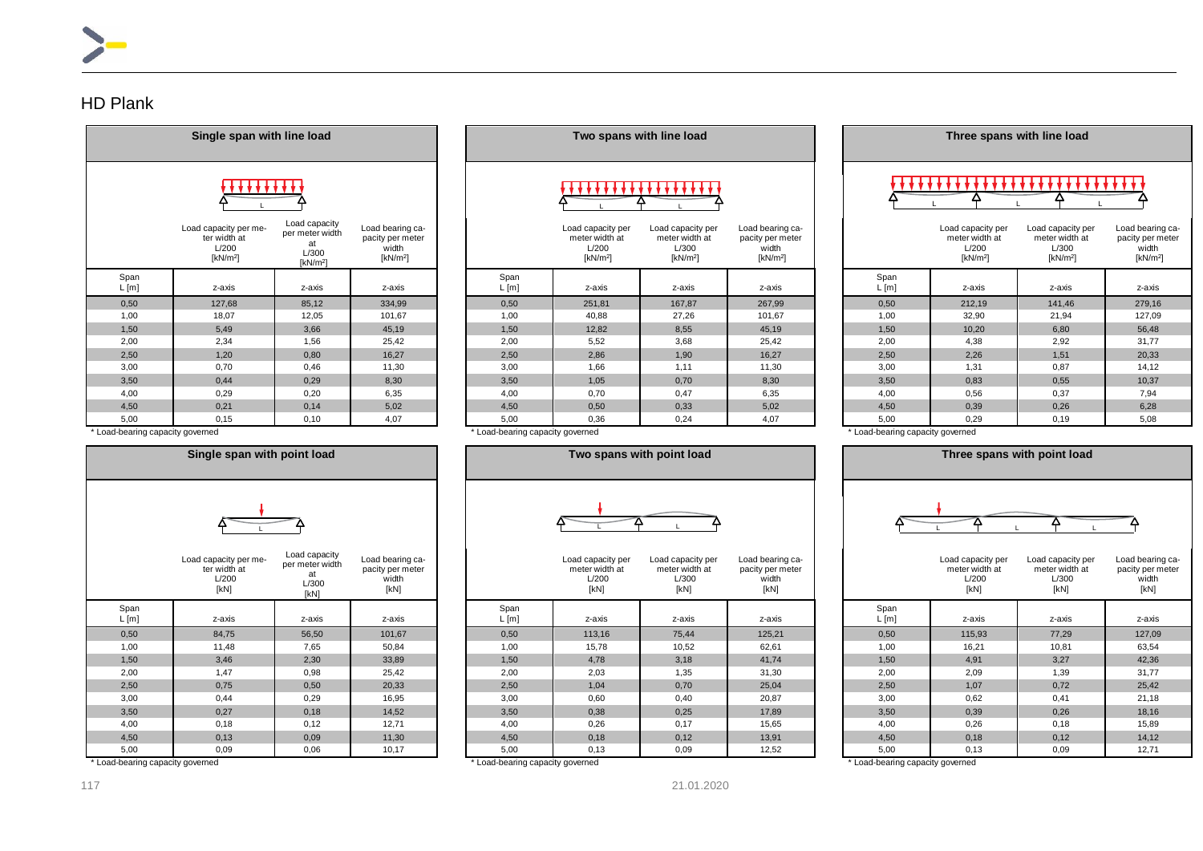### HD Plank

|                 | Single span with line load                                    |                                                                |                                                              |  |  |  |  |  |  |  |  |  |  |
|-----------------|---------------------------------------------------------------|----------------------------------------------------------------|--------------------------------------------------------------|--|--|--|--|--|--|--|--|--|--|
|                 |                                                               |                                                                |                                                              |  |  |  |  |  |  |  |  |  |  |
|                 | Load capacity per me-<br>ter width at<br>L/200<br>[ $kN/m2$ ] | Load capacity<br>per meter width<br>at<br>L/300<br>[ $kN/m2$ ] | Load bearing ca-<br>pacity per meter<br>width<br>[ $kN/m2$ ] |  |  |  |  |  |  |  |  |  |  |
| Span<br>$L$ [m] | z-axis                                                        | z-axis                                                         | z-axis                                                       |  |  |  |  |  |  |  |  |  |  |
| 0,50            | 127,68                                                        | 85,12                                                          | 334,99                                                       |  |  |  |  |  |  |  |  |  |  |
| 1,00            | 18,07                                                         | 12,05                                                          | 101,67                                                       |  |  |  |  |  |  |  |  |  |  |
| 1,50            | 5,49                                                          | 3,66                                                           | 45,19                                                        |  |  |  |  |  |  |  |  |  |  |
| 2,00            | 2,34                                                          | 1,56                                                           | 25,42                                                        |  |  |  |  |  |  |  |  |  |  |
| 2,50            | 1,20                                                          | 0,80                                                           | 16,27                                                        |  |  |  |  |  |  |  |  |  |  |
| 3,00            | 0,70                                                          | 0,46                                                           | 11,30                                                        |  |  |  |  |  |  |  |  |  |  |
| 3,50            | 0,44                                                          | 0,29                                                           | 8,30                                                         |  |  |  |  |  |  |  |  |  |  |
| 4,00            | 0,29                                                          | 0,20                                                           | 6,35                                                         |  |  |  |  |  |  |  |  |  |  |
| 4,50            | 0,21                                                          | 0,14                                                           | 5,02                                                         |  |  |  |  |  |  |  |  |  |  |
| 5,00            | 0,15                                                          | 0,10                                                           | 4,07                                                         |  |  |  |  |  |  |  |  |  |  |

|               | Single span with line load                                    |                                                                   |                                                                       | Two spans with line load |                                                                      |                                                                      |                                                              |  | Three spans with line load |                                                                      |                                                                      |                                                            |  |
|---------------|---------------------------------------------------------------|-------------------------------------------------------------------|-----------------------------------------------------------------------|--------------------------|----------------------------------------------------------------------|----------------------------------------------------------------------|--------------------------------------------------------------|--|----------------------------|----------------------------------------------------------------------|----------------------------------------------------------------------|------------------------------------------------------------|--|
|               |                                                               |                                                                   |                                                                       |                          |                                                                      |                                                                      |                                                              |  |                            |                                                                      |                                                                      |                                                            |  |
|               | Load capacity per me-<br>ter width at<br>L/200<br>[ $kN/m2$ ] | Load capacity<br>per meter width<br>L/300<br>[kN/m <sup>2</sup> ] | Load bearing ca-<br>pacity per meter<br>width<br>[kN/m <sup>2</sup> ] |                          | Load capacity per<br>meter width at<br>L/200<br>[kN/m <sup>2</sup> ] | Load capacity per<br>meter width at<br>L/300<br>[kN/m <sup>2</sup> ] | Load bearing ca-<br>pacity per meter<br>width<br>[ $kN/m2$ ] |  |                            | Load capacity per<br>meter width at<br>L/200<br>[kN/m <sup>2</sup> ] | Load capacity per<br>meter width at<br>L/300<br>[kN/m <sup>2</sup> ] | Load bearin<br>pacity per n<br>width<br>[kN/m <sup>2</sup> |  |
| Span<br>L [m] | z-axis                                                        | z-axis                                                            | z-axis                                                                | Span<br>L[m]             | z-axis                                                               | z-axis                                                               | z-axis                                                       |  | Span<br>L[m]               | z-axis                                                               | z-axis                                                               | z-axis                                                     |  |
| 0,50          | 127,68                                                        | 85,12                                                             | 334,99                                                                | 0,50                     | 251,81                                                               | 167,87                                                               | 267,99                                                       |  | 0,50                       | 212,19                                                               | 141,46                                                               | 279,16                                                     |  |
| 1,00          | 18,07                                                         | 12,05                                                             | 101,67                                                                | 1,00                     | 40,88                                                                | 27,26                                                                | 101,67                                                       |  | 1,00                       | 32,90                                                                | 21,94                                                                | 127,09                                                     |  |
| 1,50          | 5,49                                                          | 3,66                                                              | 45,19                                                                 | 1,50                     | 12,82                                                                | 8,55                                                                 | 45,19                                                        |  | 1,50                       | 10,20                                                                | 6,80                                                                 | 56,48                                                      |  |
| 2,00          | 2,34                                                          | 1,56                                                              | 25,42                                                                 | 2,00                     | 5,52                                                                 | 3,68                                                                 | 25,42                                                        |  | 2,00                       | 4,38                                                                 | 2,92                                                                 | 31,77                                                      |  |
| 2,50          | 1,20                                                          | 0,80                                                              | 16,27                                                                 | 2,50                     | 2,86                                                                 | 1,90                                                                 | 16,27                                                        |  | 2,50                       | 2,26                                                                 | 1,51                                                                 | 20,33                                                      |  |
| 3,00          | 0,70                                                          | 0,46                                                              | 11,30                                                                 | 3,00                     | 1,66                                                                 | 1,11                                                                 | 11,30                                                        |  | 3,00                       | 1,31                                                                 | 0,87                                                                 | 14,12                                                      |  |
| 3.50          | 0.44                                                          | 0.29                                                              | 8,30                                                                  | 3,50                     | 1.05                                                                 | 0.70                                                                 | 8,30                                                         |  | 3.50                       | 0.83                                                                 | 0,55                                                                 | 10,37                                                      |  |
| 4,00          | 0.29                                                          | 0,20                                                              | 6,35                                                                  | 4,00                     | 0,70                                                                 | 0,47                                                                 | 6,35                                                         |  | 4,00                       | 0,56                                                                 | 0,37                                                                 | 7,94                                                       |  |
| 4.50          | 0.21                                                          | 0,14                                                              | 5,02                                                                  | 4,50                     | 0,50                                                                 | 0,33                                                                 | 5,02                                                         |  | 4,50                       | 0,39                                                                 | 0,26                                                                 | 6,28                                                       |  |
|               |                                                               |                                                                   |                                                                       |                          |                                                                      |                                                                      |                                                              |  |                            |                                                                      |                                                                      |                                                            |  |

**Three spans with line load** 

|  | *** |  |
|--|-----|--|
|  |     |  |

|               | Load capacity per me-<br>ter width at<br>L/200<br>[ $kN/m2$ ] | Load capacity<br>per meter width<br>at<br>L/300<br>[ $kN/m2$ ] | Load bearing ca-<br>pacity per meter<br>width<br>[kN/m <sup>2</sup> ] |               | Load capacity per<br>meter width at<br>L/200<br>[ $kN/m2$ ] | Load capacity per<br>meter width at<br>L/300<br>[kN/m <sup>2</sup> ] | Load bearing ca-<br>pacity per meter<br>width<br>[ $kN/m2$ ] |              | Load capacity per<br>meter width at<br>L/200<br>[kN/m <sup>2</sup> ] | Load capacity per<br>meter width at<br>L/300<br>[kN/m <sup>2</sup> ] | Load bearing ca-<br>pacity per meter<br>width<br>[kN/m <sup>2</sup> ] |
|---------------|---------------------------------------------------------------|----------------------------------------------------------------|-----------------------------------------------------------------------|---------------|-------------------------------------------------------------|----------------------------------------------------------------------|--------------------------------------------------------------|--------------|----------------------------------------------------------------------|----------------------------------------------------------------------|-----------------------------------------------------------------------|
| Span<br>L [m] | z-axis                                                        | z-axis                                                         | z-axis                                                                | Span<br>L [m] | z-axis                                                      | z-axis                                                               | z-axis                                                       | Span<br>L[m] | z-axis                                                               | z-axis                                                               | z-axis                                                                |
| 0,50          | 127,68                                                        | 85,12                                                          | 334,99                                                                | 0.50          | 251,81                                                      | 167,87                                                               | 267,99                                                       | 0,50         | 212,19                                                               | 141,46                                                               | 279,16                                                                |
| 1,00          | 18,07                                                         | 12,05                                                          | 101,67                                                                | 1,00          | 40,88                                                       | 27,26                                                                | 101,67                                                       | 1,00         | 32,90                                                                | 21,94                                                                | 127,09                                                                |
| 1,50          | 5,49                                                          | 3,66                                                           | 45,19                                                                 | 1,50          | 12,82                                                       | 8,55                                                                 | 45,19                                                        | 1,50         | 10,20                                                                | 6,80                                                                 | 56,48                                                                 |
| 2,00          | 2,34                                                          | 1,56                                                           | 25,42                                                                 | 2,00          | 5,52                                                        | 3,68                                                                 | 25,42                                                        | 2,00         | 4,38                                                                 | 2,92                                                                 | 31,77                                                                 |
| 2,50          | 1,20                                                          | 0,80                                                           | 16,27                                                                 | 2,50          | 2,86                                                        | 1,90                                                                 | 16,27                                                        | 2,50         | 2,26                                                                 | 1,51                                                                 | 20,33                                                                 |
| 3,00          | 0,70                                                          | 0,46                                                           | 11,30                                                                 | 3,00          | 1,66                                                        | 1,11                                                                 | 11,30                                                        | 3,00         | 1,31                                                                 | 0,87                                                                 | 14,12                                                                 |
| 3,50          | 0.44                                                          | 0,29                                                           | 8,30                                                                  | 3,50          | 1,05                                                        | 0,70                                                                 | 8,30                                                         | 3,50         | 0,83                                                                 | 0,55                                                                 | 10,37                                                                 |
| 4.00          | 0,29                                                          | 0,20                                                           | 6,35                                                                  | 4.00          | 0.70                                                        | 0,47                                                                 | 6,35                                                         | 4,00         | 0,56                                                                 | 0,37                                                                 | 7,94                                                                  |
| 4,50          | 0.21                                                          | 0,14                                                           | 5,02                                                                  | 4,50          | 0,50                                                        | 0,33                                                                 | 5,02                                                         | 4,50         | 0,39                                                                 | 0,26                                                                 | 6,28                                                                  |
| 5,00          | 0,15                                                          | 0,10                                                           | 4,07                                                                  | 5,00          | 0,36                                                        | 0,24                                                                 | 4,07                                                         | 5,00         | 0,29                                                                 | 0,19                                                                 | 5,08                                                                  |

\* Load-bearing capacity governed \* Load-bearing capacity governed \* Load-bearing capacity governed

|               | Single span with point load                            |                                                         |                                                       |  |  |  |  |  |  |  |  |
|---------------|--------------------------------------------------------|---------------------------------------------------------|-------------------------------------------------------|--|--|--|--|--|--|--|--|
|               |                                                        |                                                         |                                                       |  |  |  |  |  |  |  |  |
|               | Load capacity per me-<br>ter width at<br>L/200<br>[kN] | Load capacity<br>per meter width<br>at<br>L/300<br>[kN] | Load bearing ca-<br>pacity per meter<br>width<br>[kN] |  |  |  |  |  |  |  |  |
| Span<br>L [m] | z-axis                                                 | z-axis                                                  | z-axis                                                |  |  |  |  |  |  |  |  |
| 0,50          | 84,75                                                  | 56,50                                                   | 101,67                                                |  |  |  |  |  |  |  |  |
| 1,00          | 11,48                                                  | 7,65                                                    | 50,84                                                 |  |  |  |  |  |  |  |  |
| 1,50          | 3,46                                                   | 2,30                                                    | 33,89                                                 |  |  |  |  |  |  |  |  |
| 2,00          | 1,47                                                   | 0,98                                                    | 25,42                                                 |  |  |  |  |  |  |  |  |
| 2,50          | 0,75                                                   | 0,50                                                    | 20,33                                                 |  |  |  |  |  |  |  |  |
| 3,00          | 0,44                                                   | 0,29                                                    | 16,95                                                 |  |  |  |  |  |  |  |  |
| 3,50          | 0,27                                                   | 0,18                                                    | 14,52                                                 |  |  |  |  |  |  |  |  |
| 4,00          | 0,18                                                   | 0,12                                                    | 12,71                                                 |  |  |  |  |  |  |  |  |
| 4,50          | 0,13                                                   | 0,09                                                    | 11,30                                                 |  |  |  |  |  |  |  |  |
| 5.00          | n na                                                   | 0.06                                                    | 10.17                                                 |  |  |  |  |  |  |  |  |

| oad capacity<br>er meter width<br>at<br>L/300<br>[kN] | Load bearing ca-<br>pacity per meter<br>width<br>[kN] |  |
|-------------------------------------------------------|-------------------------------------------------------|--|

|                                  | Load capacity per me-<br>ter width at<br>L/200<br>[kN] | Load capacity<br>per meter width<br>L/300<br>[kN] | Load bearing ca-<br>pacity per meter<br>width<br>[kN] |              | Load capacity per<br>meter width at<br>L/200<br>[kN] | Load capacity per<br>meter width at<br>L/300<br>[kN] | Load bearing ca-<br>pacity per meter<br>width<br>[kN] |                                  | Load capacity per<br>meter width at<br>L/200<br>[kN] | Load capacity per<br>meter width at<br>L/300<br>[kN] | Load bearin<br>pacity per n<br>width<br>[kN] |
|----------------------------------|--------------------------------------------------------|---------------------------------------------------|-------------------------------------------------------|--------------|------------------------------------------------------|------------------------------------------------------|-------------------------------------------------------|----------------------------------|------------------------------------------------------|------------------------------------------------------|----------------------------------------------|
| Span<br>L[m]                     | z-axis                                                 | z-axis                                            | z-axis                                                | Span<br>L[m] | z-axis                                               | z-axis                                               | z-axis                                                | Span<br>L [m]                    | z-axis                                               | z-axis                                               | z-axis                                       |
| 0,50                             | 84,75                                                  | 56,50                                             | 101,67                                                | 0,50         | 113,16                                               | 75,44                                                | 125,21                                                | 0,50                             | 115,93                                               | 77,29                                                | 127,09                                       |
| 1,00                             | 11,48                                                  | 7,65                                              | 50,84                                                 | 1,00         | 15,78                                                | 10,52                                                | 62,61                                                 | 1,00                             | 16,21                                                | 10,81                                                | 63,54                                        |
| 1,50                             | 3,46                                                   | 2,30                                              | 33,89                                                 | 1,50         | 4,78                                                 | 3,18                                                 | 41,74                                                 | 1,50                             | 4,91                                                 | 3,27                                                 | 42,36                                        |
| 2,00                             | 1.47                                                   | 0,98                                              | 25,42                                                 | 2,00         | 2,03                                                 | 1,35                                                 | 31,30                                                 | 2,00                             | 2,09                                                 | 1,39                                                 | 31,77                                        |
| 2,50                             | 0,75                                                   | 0,50                                              | 20,33                                                 | 2,50         | 1,04                                                 | 0,70                                                 | 25,04                                                 | 2,50                             | 1,07                                                 | 0,72                                                 | 25,42                                        |
| 3,00                             | 0,44                                                   | 0,29                                              | 16,95                                                 | 3,00         | 0,60                                                 | 0,40                                                 | 20,87                                                 | 3,00                             | 0,62                                                 | 0,41                                                 | 21,18                                        |
| 3,50                             | 0.27                                                   | 0,18                                              | 14,52                                                 | 3,50         | 0,38                                                 | 0,25                                                 | 17,89                                                 | 3,50                             | 0,39                                                 | 0,26                                                 | 18,16                                        |
| 4,00                             | 0,18                                                   | 0,12                                              | 12,71                                                 | 4,00         | 0,26                                                 | 0,17                                                 | 15,65                                                 | 4,00                             | 0,26                                                 | 0,18                                                 | 15,89                                        |
| 4,50                             | 0,13                                                   | 0,09                                              | 11,30                                                 | 4,50         | 0,18                                                 | 0,12                                                 | 13,91                                                 | 4,50                             | 0,18                                                 | 0,12                                                 | 14,12                                        |
| 5,00                             | 0,09                                                   | 0,06                                              | 10, 17                                                | 5,00         | 0,13                                                 | 0,09                                                 | 12,52                                                 | 5,00                             | 0,13                                                 | 0,09                                                 | 12,71                                        |
| * Load-bearing capacity governed |                                                        |                                                   |                                                       |              | * Load-bearing capacity governed                     |                                                      |                                                       | * Load-bearing capacity governed |                                                      |                                                      |                                              |



|                 | Load capacity per<br>meter width at<br>L/200<br>[kN] | Load capacity per<br>meter width at<br>L/300<br>[kN] | Load bearing ca-<br>pacity per meter<br>width<br>[kN] |
|-----------------|------------------------------------------------------|------------------------------------------------------|-------------------------------------------------------|
| Span<br>$L$ [m] | z-axis                                               | z-axis                                               | z-axis                                                |
| 0,50            | 115,93                                               | 77,29                                                | 127,09                                                |
| 1,00            | 16,21                                                | 10,81                                                | 63,54                                                 |
| 1,50            | 4,91                                                 | 3,27                                                 | 42,36                                                 |
| 2,00            | 2,09                                                 | 1,39                                                 | 31,77                                                 |
| 2,50            | 1,07                                                 | 0,72                                                 | 25,42                                                 |
| 3,00            | 0,62                                                 | 0,41                                                 | 21,18                                                 |
| 3,50            | 0,39                                                 | 0,26                                                 | 18,16                                                 |
| 4,00            | 0,26                                                 | 0,18                                                 | 15,89                                                 |
| 4,50            | 0,18                                                 | 0,12                                                 | 14,12                                                 |
| 5,00            | 0,13                                                 | 0,09                                                 | 12,71                                                 |
| $\sim$ $\sim$   |                                                      |                                                      |                                                       |

117 21.01.2020